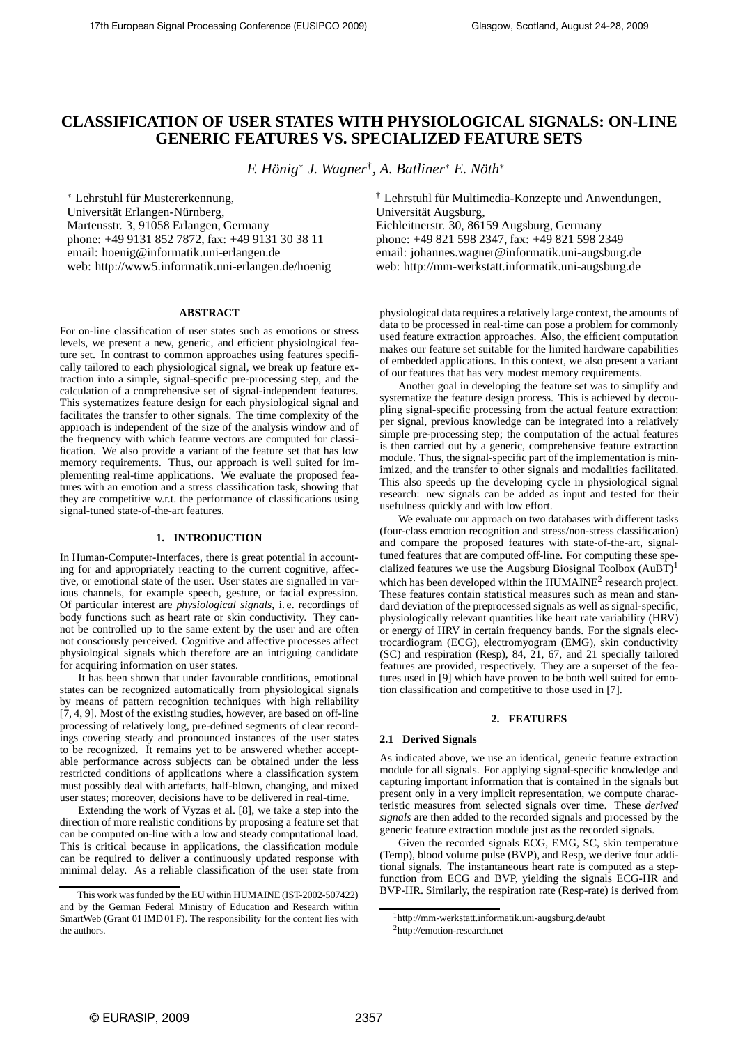# **CLASSIFICATION OF USER STATES WITH PHYSIOLOGICAL SIGNALS: ON-LINE GENERIC FEATURES VS. SPECIALIZED FEATURE SETS**

*F. Honig ¨* ∗ *J. Wagner*† *, A. Batliner*<sup>∗</sup> *E. Noth ¨* ∗

∗ Lehrstuhl f¨ur Mustererkennung, Universität Erlangen-Nürnberg, Martensstr. 3, 91058 Erlangen, Germany phone: +49 9131 852 7872, fax: +49 9131 30 38 11 email: hoenig@informatik.uni-erlangen.de web: http://www5.informatik.uni-erlangen.de/hoenig

#### **ABSTRACT**

For on-line classification of user states such as emotions or stress levels, we present a new, generic, and efficient physiological feature set. In contrast to common approaches using features specifically tailored to each physiological signal, we break up feature extraction into a simple, signal-specific pre-processing step, and the calculation of a comprehensive set of signal-independent features. This systematizes feature design for each physiological signal and facilitates the transfer to other signals. The time complexity of the approach is independent of the size of the analysis window and of the frequency with which feature vectors are computed for classification. We also provide a variant of the feature set that has low memory requirements. Thus, our approach is well suited for implementing real-time applications. We evaluate the proposed features with an emotion and a stress classification task, showing that they are competitive w.r.t. the performance of classifications using signal-tuned state-of-the-art features.

# **1. INTRODUCTION**

In Human-Computer-Interfaces, there is great potential in accounting for and appropriately reacting to the current cognitive, affective, or emotional state of the user. User states are signalled in various channels, for example speech, gesture, or facial expression. Of particular interest are *physiological signals*, i. e. recordings of body functions such as heart rate or skin conductivity. They cannot be controlled up to the same extent by the user and are often not consciously perceived. Cognitive and affective processes affect physiological signals which therefore are an intriguing candidate for acquiring information on user states.

It has been shown that under favourable conditions, emotional states can be recognized automatically from physiological signals by means of pattern recognition techniques with high reliability [7, 4, 9]. Most of the existing studies, however, are based on off-line processing of relatively long, pre-defined segments of clear recordings covering steady and pronounced instances of the user states to be recognized. It remains yet to be answered whether acceptable performance across subjects can be obtained under the less restricted conditions of applications where a classification system must possibly deal with artefacts, half-blown, changing, and mixed user states; moreover, decisions have to be delivered in real-time.

Extending the work of Vyzas et al. [8], we take a step into the direction of more realistic conditions by proposing a feature set that can be computed on-line with a low and steady computational load. This is critical because in applications, the classification module can be required to deliver a continuously updated response with minimal delay. As a reliable classification of the user state from <sup>†</sup> Lehrstuhl für Multimedia-Konzepte und Anwendungen, Universität Augsburg, Eichleitnerstr. 30, 86159 Augsburg, Germany phone: +49 821 598 2347, fax: +49 821 598 2349 email: johannes.wagner@informatik.uni-augsburg.de web: http://mm-werkstatt.informatik.uni-augsburg.de

physiological data requires a relatively large context, the amounts of data to be processed in real-time can pose a problem for commonly used feature extraction approaches. Also, the efficient computation makes our feature set suitable for the limited hardware capabilities of embedded applications. In this context, we also present a variant of our features that has very modest memory requirements.

Another goal in developing the feature set was to simplify and systematize the feature design process. This is achieved by decoupling signal-specific processing from the actual feature extraction: per signal, previous knowledge can be integrated into a relatively simple pre-processing step; the computation of the actual features is then carried out by a generic, comprehensive feature extraction module. Thus, the signal-specific part of the implementation is minimized, and the transfer to other signals and modalities facilitated. This also speeds up the developing cycle in physiological signal research: new signals can be added as input and tested for their usefulness quickly and with low effort.

We evaluate our approach on two databases with different tasks (four-class emotion recognition and stress/non-stress classification) and compare the proposed features with state-of-the-art, signaltuned features that are computed off-line. For computing these specialized features we use the Augsburg Biosignal Toolbox  $(AuBT)^1$ which has been developed within the HUMAINE<sup>2</sup> research project. These features contain statistical measures such as mean and standard deviation of the preprocessed signals as well as signal-specific, physiologically relevant quantities like heart rate variability (HRV) or energy of HRV in certain frequency bands. For the signals electrocardiogram (ECG), electromyogram (EMG), skin conductivity (SC) and respiration (Resp), 84, 21, 67, and 21 specially tailored features are provided, respectively. They are a superset of the features used in [9] which have proven to be both well suited for emotion classification and competitive to those used in [7].

#### **2. FEATURES**

## **2.1 Derived Signals**

As indicated above, we use an identical, generic feature extraction module for all signals. For applying signal-specific knowledge and capturing important information that is contained in the signals but present only in a very implicit representation, we compute characteristic measures from selected signals over time. These *derived signals* are then added to the recorded signals and processed by the generic feature extraction module just as the recorded signals.

Given the recorded signals ECG, EMG, SC, skin temperature (Temp), blood volume pulse (BVP), and Resp, we derive four additional signals. The instantaneous heart rate is computed as a stepfunction from ECG and BVP, yielding the signals ECG-HR and BVP-HR. Similarly, the respiration rate (Resp-rate) is derived from

This work was funded by the EU within HUMAINE (IST-2002-507422) and by the German Federal Ministry of Education and Research within SmartWeb (Grant 01 IMD 01 F). The responsibility for the content lies with the authors.

<sup>1</sup> http://mm-werkstatt.informatik.uni-augsburg.de/aubt

<sup>2</sup>http://emotion-research.net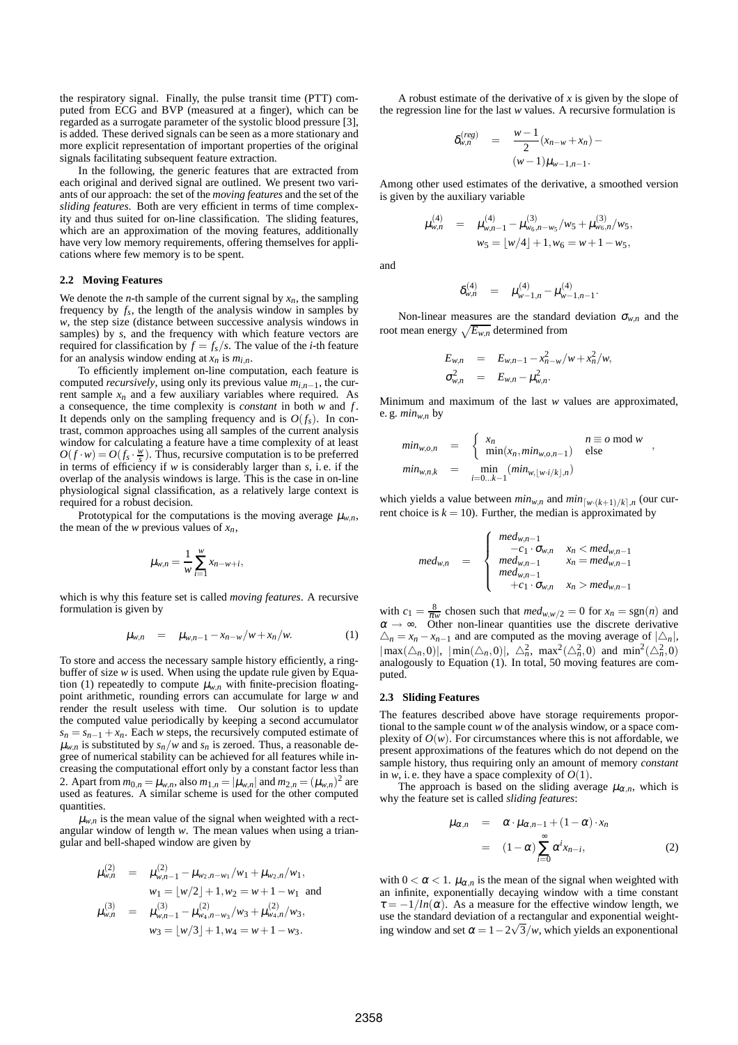the respiratory signal. Finally, the pulse transit time (PTT) computed from ECG and BVP (measured at a finger), which can be regarded as a surrogate parameter of the systolic blood pressure [3], is added. These derived signals can be seen as a more stationary and more explicit representation of important properties of the original signals facilitating subsequent feature extraction.

In the following, the generic features that are extracted from each original and derived signal are outlined. We present two variants of our approach: the set of the *moving features* and the set of the *sliding features*. Both are very efficient in terms of time complexity and thus suited for on-line classification. The sliding features, which are an approximation of the moving features, additionally have very low memory requirements, offering themselves for applications where few memory is to be spent.

#### **2.2 Moving Features**

We denote the *n*-th sample of the current signal by  $x_n$ , the sampling frequency by  $f_s$ , the length of the analysis window in samples by *w*, the step size (distance between successive analysis windows in samples) by *s*, and the frequency with which feature vectors are required for classification by  $f = f_s/s$ . The value of the *i*-th feature for an analysis window ending at  $x_n$  is  $m_{i,n}$ .

To efficiently implement on-line computation, each feature is computed *recursively*, using only its previous value  $m_{i,n-1}$ , the current sample  $x_n$  and a few auxiliary variables where required. As a consequence, the time complexity is *constant* in both *w* and *f* . It depends only on the sampling frequency and is  $O(f_s)$ . In contrast, common approaches using all samples of the current analysis window for calculating a feature have a time complexity of at least  $O(f \cdot w) = O(f \cdot \frac{w}{s})$ . Thus, recursive computation is to be preferred in terms of efficiency if *w* is considerably larger than *s*, i. e. if the overlap of the analysis windows is large. This is the case in on-line physiological signal classification, as a relatively large context is required for a robust decision.

Prototypical for the computations is the moving average  $\mu_{w,n}$ , the mean of the *w* previous values of  $x_n$ ,

$$
\mu_{w,n} = \frac{1}{w} \sum_{i=1}^{w} x_{n-w+i},
$$

which is why this feature set is called *moving features*. A recursive formulation is given by

$$
\mu_{w,n} = \mu_{w,n-1} - x_{n-w}/w + x_n/w. \tag{1}
$$

To store and access the necessary sample history efficiently, a ringbuffer of size *w* is used. When using the update rule given by Equation (1) repeatedly to compute  $\mu_{w,n}$  with finite-precision floatingpoint arithmetic, rounding errors can accumulate for large *w* and render the result useless with time. Our solution is to update the computed value periodically by keeping a second accumulator  $s_n = s_{n-1} + x_n$ . Each *w* steps, the recursively computed estimate of  $\mu_{w,n}$  is substituted by  $s_n/w$  and  $s_n$  is zeroed. Thus, a reasonable degree of numerical stability can be achieved for all features while increasing the computational effort only by a constant factor less than 2. Apart from  $m_{0,n} = \mu_{w,n}$ , also  $m_{1,n} = |\mu_{w,n}|$  and  $m_{2,n} = (\mu_{w,n})^2$  are used as features. A similar scheme is used for the other computed quantities.

 $\mu_{w,n}$  is the mean value of the signal when weighted with a rectangular window of length *w*. The mean values when using a triangular and bell-shaped window are given by

$$
\mu_{w,n}^{(2)} = \mu_{w,n-1}^{(2)} - \mu_{w_2,n-w_1}/w_1 + \mu_{w_2,n}/w_1,
$$
  
\n
$$
w_1 = \lfloor w/2 \rfloor + 1, w_2 = w + 1 - w_1 \text{ and}
$$
  
\n
$$
\mu_{w,n}^{(3)} = \mu_{w,n-1}^{(3)} - \mu_{w_4,n-w_3}^{(2)}/w_3 + \mu_{w_4,n}^{(2)}/w_3,
$$
  
\n
$$
w_3 = \lfloor w/3 \rfloor + 1, w_4 = w + 1 - w_3.
$$

A robust estimate of the derivative of *x* is given by the slope of the regression line for the last *w* values. A recursive formulation is

$$
\delta_{w,n}^{(reg)} = \frac{w-1}{2}(x_{n-w} + x_n) - (w-1)\mu_{w-1,n-1}.
$$

Among other used estimates of the derivative, a smoothed version is given by the auxiliary variable

$$
\mu_{w,n}^{(4)} = \mu_{w,n-1}^{(4)} - \mu_{w_6,n-w_5}^{(3)}/w_5 + \mu_{w_6,n}^{(3)}/w_5,
$$
  

$$
w_5 = \lfloor w/4 \rfloor + 1, w_6 = w + 1 - w_5,
$$

and

$$
\delta_{w,n}^{(4)} = \mu_{w-1,n}^{(4)} - \mu_{w-1,n-1}^{(4)}.
$$

Non-linear measures are the standard deviation  $\sigma_{w,n}$  and the root mean energy  $\sqrt{E_{w,n}}$  determined from

$$
E_{w,n} = E_{w,n-1} - x_{n-w}^2/w + x_n^2/w,
$$
  
\n
$$
\sigma_{w,n}^2 = E_{w,n} - \mu_{w,n}^2.
$$

Minimum and maximum of the last *w* values are approximated, e.g.  $min_{w,n}$  by

$$
min_{w,o,n} = \begin{cases} x_n & n \equiv o \mod w \\ \min(x_n, min_{w,o,n-1}) & \text{else} \end{cases},
$$
  

$$
min_{w,n,k} = \min_{i=0...k-1} (min_{w,[w\cdot i/k],n})
$$

which yields a value between  $min_{w,n}$  and  $min_{[w \cdot (k+1)/k] \setminus n}$  (our current choice is  $k = 10$ ). Further, the median is approximated by

$$
med_{w,n} = \begin{cases} \n med_{w,n-1} < \text{med}_{w,n-1} \\
-c_1 \cdot \sigma_{w,n} & x_n < \text{med}_{w,n-1} \\
\text{med}_{w,n-1} & x_n = \text{med}_{w,n-1} \\
+c_1 \cdot \sigma_{w,n} & x_n > \text{med}_{w,n-1}\n \end{cases}
$$

with  $c_1 = \frac{8}{\pi w}$  chosen such that  $\text{med}_{w,w/2} = 0$  for  $x_n = \text{sgn}(n)$  and  $\alpha \rightarrow \infty$ . Other non-linear quantities use the discrete derivative  $\Delta_n = x_n - x_{n-1}$  and are computed as the moving average of  $|\Delta_n|$ ,  $|\max(\triangle_n, 0)|$ ,  $|\min(\triangle_n, 0)|$ ,  $\triangle_n^2$ ,  $\max^2(\triangle_n^2, 0)$  and  $\min^2(\triangle_n^2, 0)$ analogously to Equation (1). In total, 50 moving features are computed.

## **2.3 Sliding Features**

The features described above have storage requirements proportional to the sample count *w* of the analysis window, or a space complexity of  $O(w)$ . For circumstances where this is not affordable, we present approximations of the features which do not depend on the sample history, thus requiring only an amount of memory *constant* in  $w$ , i. e. they have a space complexity of  $O(1)$ .

The approach is based on the sliding average  $\mu_{\alpha,n}$ , which is why the feature set is called *sliding features*:

$$
\mu_{\alpha,n} = \alpha \cdot \mu_{\alpha,n-1} + (1 - \alpha) \cdot x_n
$$
  
= 
$$
(1 - \alpha) \sum_{i=0}^{\infty} \alpha^i x_{n-i},
$$
 (2)

with  $0 < \alpha < 1$ .  $\mu_{\alpha,n}$  is the mean of the signal when weighted with an infinite, exponentially decaying window with a time constant  $\tau = -1/\ln(\alpha)$ . As a measure for the effective window length, we use the standard deviation of a rectangular and exponential weighting window and set  $\alpha = 1 - 2\sqrt{3}/w$ , which yields an exponentional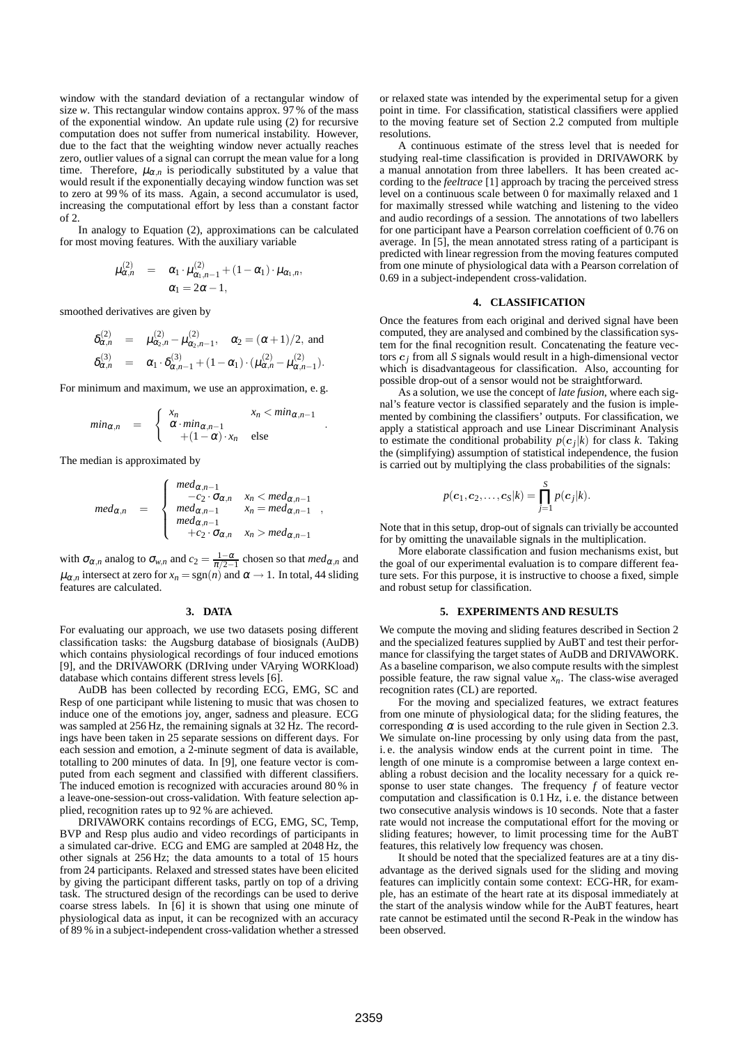window with the standard deviation of a rectangular window of size *w*. This rectangular window contains approx. 97 % of the mass of the exponential window. An update rule using (2) for recursive computation does not suffer from numerical instability. However, due to the fact that the weighting window never actually reaches zero, outlier values of a signal can corrupt the mean value for a long time. Therefore,  $\mu_{\alpha,n}$  is periodically substituted by a value that would result if the exponentially decaying window function was set to zero at 99 % of its mass. Again, a second accumulator is used, increasing the computational effort by less than a constant factor of 2.

In analogy to Equation (2), approximations can be calculated for most moving features. With the auxiliary variable

$$
\mu_{\alpha,n}^{(2)} = \alpha_1 \cdot \mu_{\alpha_1,n-1}^{(2)} + (1-\alpha_1) \cdot \mu_{\alpha_1,n},
$$
  
\n
$$
\alpha_1 = 2\alpha - 1,
$$

smoothed derivatives are given by

$$
\delta_{\alpha,n}^{(2)} = \mu_{\alpha_2,n}^{(2)} - \mu_{\alpha_2,n-1}^{(2)}, \quad \alpha_2 = (\alpha+1)/2, \text{ and}
$$
  
\n
$$
\delta_{\alpha,n}^{(3)} = \alpha_1 \cdot \delta_{\alpha,n-1}^{(3)} + (1-\alpha_1) \cdot (\mu_{\alpha,n}^{(2)} - \mu_{\alpha,n-1}^{(2)}).
$$

For minimum and maximum, we use an approximation, e. g.

$$
min_{\alpha,n} = \begin{cases} x_n & x_n < min_{\alpha,n-1} \\ \alpha \cdot min_{\alpha,n-1} \\ + (1-\alpha) \cdot x_n & \text{else} \end{cases}
$$

.

,

The median is approximated by

$$
med_{\alpha,n} \quad = \quad\n \begin{cases}\n \text{med}_{\alpha,n-1} & \text{if } n < \text{med}_{\alpha,n-1} \\
\text{med}_{\alpha,n-1} & \text{if } n = \text{med}_{\alpha,n-1} \\
\text{med}_{\alpha,n-1} & \text{if } n = \text{med}_{\alpha,n-1} \\
+c_2 \cdot \sigma_{\alpha,n} & \text{if } n > \text{med}_{\alpha,n-1}\n \end{cases}
$$

with  $\sigma_{\alpha,n}$  analog to  $\sigma_{w,n}$  and  $c_2 = \frac{1-\alpha}{\pi/2-1}$  chosen so that  $med_{\alpha,n}$  and  $\mu_{\alpha,n}$  intersect at zero for  $x_n = \text{sgn}(n)$  and  $\alpha \to 1$ . In total, 44 sliding features are calculated.

#### **3. DATA**

For evaluating our approach, we use two datasets posing different classification tasks: the Augsburg database of biosignals (AuDB) which contains physiological recordings of four induced emotions [9], and the DRIVAWORK (DRIving under VArying WORKload) database which contains different stress levels [6].

AuDB has been collected by recording ECG, EMG, SC and Resp of one participant while listening to music that was chosen to induce one of the emotions joy, anger, sadness and pleasure. ECG was sampled at 256 Hz, the remaining signals at 32 Hz. The recordings have been taken in 25 separate sessions on different days. For each session and emotion, a 2-minute segment of data is available, totalling to 200 minutes of data. In [9], one feature vector is computed from each segment and classified with different classifiers. The induced emotion is recognized with accuracies around 80 % in a leave-one-session-out cross-validation. With feature selection applied, recognition rates up to 92 % are achieved.

DRIVAWORK contains recordings of ECG, EMG, SC, Temp, BVP and Resp plus audio and video recordings of participants in a simulated car-drive. ECG and EMG are sampled at 2048 Hz, the other signals at 256 Hz; the data amounts to a total of 15 hours from 24 participants. Relaxed and stressed states have been elicited by giving the participant different tasks, partly on top of a driving task. The structured design of the recordings can be used to derive coarse stress labels. In [6] it is shown that using one minute of physiological data as input, it can be recognized with an accuracy of 89 % in a subject-independent cross-validation whether a stressed

or relaxed state was intended by the experimental setup for a given point in time. For classification, statistical classifiers were applied to the moving feature set of Section 2.2 computed from multiple resolutions.

A continuous estimate of the stress level that is needed for studying real-time classification is provided in DRIVAWORK by a manual annotation from three labellers. It has been created according to the *feeltrace* [1] approach by tracing the perceived stress level on a continuous scale between 0 for maximally relaxed and 1 for maximally stressed while watching and listening to the video and audio recordings of a session. The annotations of two labellers for one participant have a Pearson correlation coefficient of 0.76 on average. In [5], the mean annotated stress rating of a participant is predicted with linear regression from the moving features computed from one minute of physiological data with a Pearson correlation of 0.69 in a subject-independent cross-validation.

#### **4. CLASSIFICATION**

Once the features from each original and derived signal have been computed, they are analysed and combined by the classification system for the final recognition result. Concatenating the feature vectors  $c_j$  from all *S* signals would result in a high-dimensional vector which is disadvantageous for classification. Also, accounting for possible drop-out of a sensor would not be straightforward.

As a solution, we use the concept of *late fusion*, where each signal's feature vector is classified separately and the fusion is implemented by combining the classifiers' outputs. For classification, we apply a statistical approach and use Linear Discriminant Analysis to estimate the conditional probability  $p(c_j|k)$  for class *k*. Taking the (simplifying) assumption of statistical independence, the fusion is carried out by multiplying the class probabilities of the signals:

$$
p(\boldsymbol{c}_1,\boldsymbol{c}_2,\ldots,\boldsymbol{c}_S|k)=\prod_{j=1}^S p(\boldsymbol{c}_j|k).
$$

Note that in this setup, drop-out of signals can trivially be accounted for by omitting the unavailable signals in the multiplication.

More elaborate classification and fusion mechanisms exist, but the goal of our experimental evaluation is to compare different feature sets. For this purpose, it is instructive to choose a fixed, simple and robust setup for classification.

#### **5. EXPERIMENTS AND RESULTS**

We compute the moving and sliding features described in Section 2 and the specialized features supplied by AuBT and test their performance for classifying the target states of AuDB and DRIVAWORK. As a baseline comparison, we also compute results with the simplest possible feature, the raw signal value  $x_n$ . The class-wise averaged recognition rates (CL) are reported.

For the moving and specialized features, we extract features from one minute of physiological data; for the sliding features, the corresponding  $\alpha$  is used according to the rule given in Section 2.3. We simulate on-line processing by only using data from the past, i. e. the analysis window ends at the current point in time. The length of one minute is a compromise between a large context enabling a robust decision and the locality necessary for a quick response to user state changes. The frequency *f* of feature vector computation and classification is 0.1 Hz, i. e. the distance between two consecutive analysis windows is 10 seconds. Note that a faster rate would not increase the computational effort for the moving or sliding features; however, to limit processing time for the AuBT features, this relatively low frequency was chosen.

It should be noted that the specialized features are at a tiny disadvantage as the derived signals used for the sliding and moving features can implicitly contain some context: ECG-HR, for example, has an estimate of the heart rate at its disposal immediately at the start of the analysis window while for the AuBT features, heart rate cannot be estimated until the second R-Peak in the window has been observed.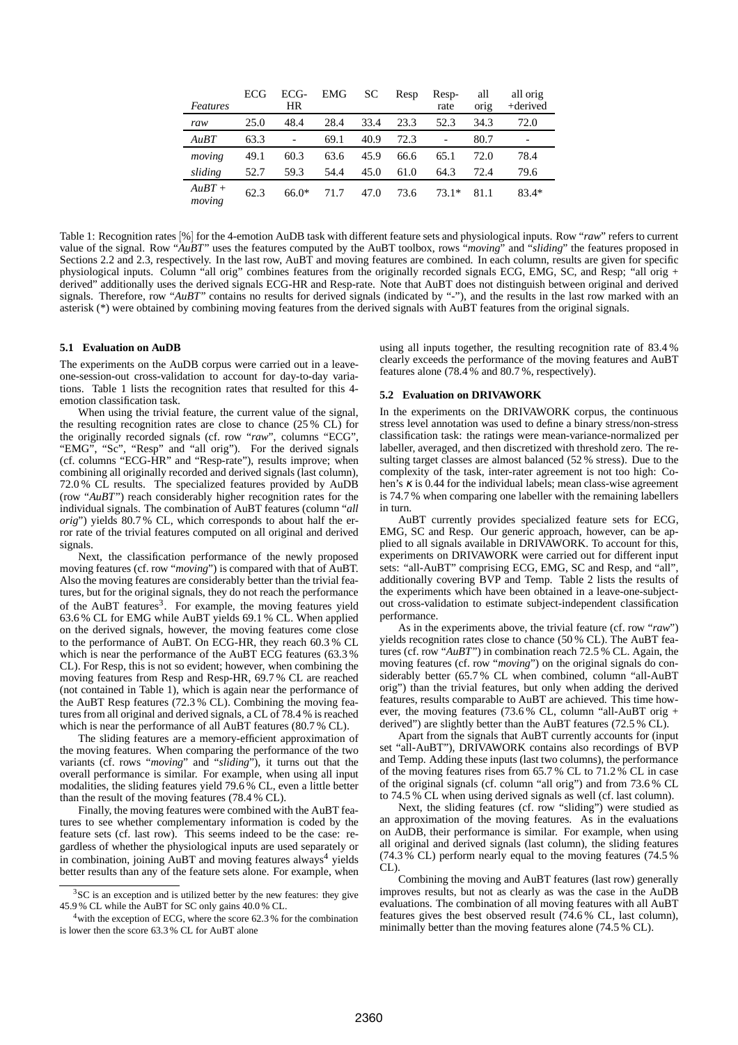| Features           | ECG  | ECG-<br>HR | EMG  | SС   | Resp | Resp-<br>rate | all<br>orig | all orig<br>+derived |
|--------------------|------|------------|------|------|------|---------------|-------------|----------------------|
| raw                | 25.0 | 48.4       | 28.4 | 33.4 | 23.3 | 52.3          | 34.3        | 72.0                 |
| AuBT               | 63.3 |            | 69.1 | 40.9 | 72.3 |               | 80.7        |                      |
| moving             | 49.1 | 60.3       | 63.6 | 45.9 | 66.6 | 65.1          | 72.0        | 78.4                 |
| sliding            | 52.7 | 59.3       | 54.4 | 45.0 | 61.0 | 64.3          | 72.4        | 79.6                 |
| $AuBT +$<br>moving | 62.3 | $66.0*$    | 71.7 | 47.0 | 73.6 | $73.1*$       | 81.1        | $83.4*$              |

Table 1: Recognition rates [%] for the 4-emotion AuDB task with different feature sets and physiological inputs. Row "*raw*" refers to current value of the signal. Row "*AuBT*" uses the features computed by the AuBT toolbox, rows "*moving*" and "*sliding*" the features proposed in Sections 2.2 and 2.3, respectively. In the last row, AuBT and moving features are combined. In each column, results are given for specific physiological inputs. Column "all orig" combines features from the originally recorded signals ECG, EMG, SC, and Resp; "all orig + derived" additionally uses the derived signals ECG-HR and Resp-rate. Note that AuBT does not distinguish between original and derived signals. Therefore, row "*AuBT*" contains no results for derived signals (indicated by "-"), and the results in the last row marked with an asterisk (\*) were obtained by combining moving features from the derived signals with AuBT features from the original signals.

#### **5.1 Evaluation on AuDB**

The experiments on the AuDB corpus were carried out in a leaveone-session-out cross-validation to account for day-to-day variations. Table 1 lists the recognition rates that resulted for this 4 emotion classification task.

When using the trivial feature, the current value of the signal, the resulting recognition rates are close to chance (25 % CL) for the originally recorded signals (cf. row "*raw*", columns "ECG", "EMG", "Sc", "Resp" and "all orig"). For the derived signals (cf. columns "ECG-HR" and "Resp-rate"), results improve; when combining all originally recorded and derived signals (last column), 72.0 % CL results. The specialized features provided by AuDB (row "*AuBT*") reach considerably higher recognition rates for the individual signals. The combination of AuBT features (column "*all orig*") yields 80.7 % CL, which corresponds to about half the error rate of the trivial features computed on all original and derived signals.

Next, the classification performance of the newly proposed moving features (cf. row "*moving*") is compared with that of AuBT. Also the moving features are considerably better than the trivial features, but for the original signals, they do not reach the performance of the AuBT features<sup>3</sup>. For example, the moving features yield 63.6 % CL for EMG while AuBT yields 69.1 % CL. When applied on the derived signals, however, the moving features come close to the performance of AuBT. On ECG-HR, they reach 60.3 % CL which is near the performance of the AuBT ECG features (63.3 % CL). For Resp, this is not so evident; however, when combining the moving features from Resp and Resp-HR, 69.7 % CL are reached (not contained in Table 1), which is again near the performance of the AuBT Resp features (72.3 % CL). Combining the moving features from all original and derived signals, a CL of 78.4 % is reached which is near the performance of all AuBT features (80.7 % CL).

The sliding features are a memory-efficient approximation of the moving features. When comparing the performance of the two variants (cf. rows "*moving*" and "*sliding*"), it turns out that the overall performance is similar. For example, when using all input modalities, the sliding features yield 79.6 % CL, even a little better than the result of the moving features (78.4 % CL).

Finally, the moving features were combined with the AuBT features to see whether complementary information is coded by the feature sets (cf. last row). This seems indeed to be the case: regardless of whether the physiological inputs are used separately or in combination, joining AuBT and moving features always<sup>4</sup> yields better results than any of the feature sets alone. For example, when using all inputs together, the resulting recognition rate of 83.4 % clearly exceeds the performance of the moving features and AuBT features alone (78.4 % and 80.7 %, respectively).

# **5.2 Evaluation on DRIVAWORK**

In the experiments on the DRIVAWORK corpus, the continuous stress level annotation was used to define a binary stress/non-stress classification task: the ratings were mean-variance-normalized per labeller, averaged, and then discretized with threshold zero. The resulting target classes are almost balanced (52 % stress). Due to the complexity of the task, inter-rater agreement is not too high: Cohen's  $\kappa$  is 0.44 for the individual labels; mean class-wise agreement is 74.7 % when comparing one labeller with the remaining labellers in turn.

AuBT currently provides specialized feature sets for ECG, EMG, SC and Resp. Our generic approach, however, can be applied to all signals available in DRIVAWORK. To account for this, experiments on DRIVAWORK were carried out for different input sets: "all-AuBT" comprising ECG, EMG, SC and Resp, and "all", additionally covering BVP and Temp. Table 2 lists the results of the experiments which have been obtained in a leave-one-subjectout cross-validation to estimate subject-independent classification performance.

As in the experiments above, the trivial feature (cf. row "*raw*") yields recognition rates close to chance (50 % CL). The AuBT features (cf. row "*AuBT*") in combination reach 72.5 % CL. Again, the moving features (cf. row "*moving*") on the original signals do considerably better (65.7 % CL when combined, column "all-AuBT orig") than the trivial features, but only when adding the derived features, results comparable to AuBT are achieved. This time however, the moving features (73.6 % CL, column "all-AuBT orig + derived") are slightly better than the AuBT features (72.5 % CL).

Apart from the signals that AuBT currently accounts for (input set "all-AuBT"), DRIVAWORK contains also recordings of BVP and Temp. Adding these inputs (last two columns), the performance of the moving features rises from 65.7 % CL to 71.2 % CL in case of the original signals (cf. column "all orig") and from 73.6 % CL to 74.5 % CL when using derived signals as well (cf. last column).

Next, the sliding features (cf. row "sliding") were studied as an approximation of the moving features. As in the evaluations on AuDB, their performance is similar. For example, when using all original and derived signals (last column), the sliding features (74.3 % CL) perform nearly equal to the moving features (74.5 % CL).

Combining the moving and AuBT features (last row) generally improves results, but not as clearly as was the case in the AuDB evaluations. The combination of all moving features with all AuBT features gives the best observed result (74.6 % CL, last column), minimally better than the moving features alone (74.5 % CL).

<sup>&</sup>lt;sup>3</sup>SC is an exception and is utilized better by the new features: they give 45.9 % CL while the AuBT for SC only gains 40.0 % CL.

 $4$  with the exception of ECG, where the score 62.3 % for the combination is lower then the score 63.3 % CL for AuBT alone